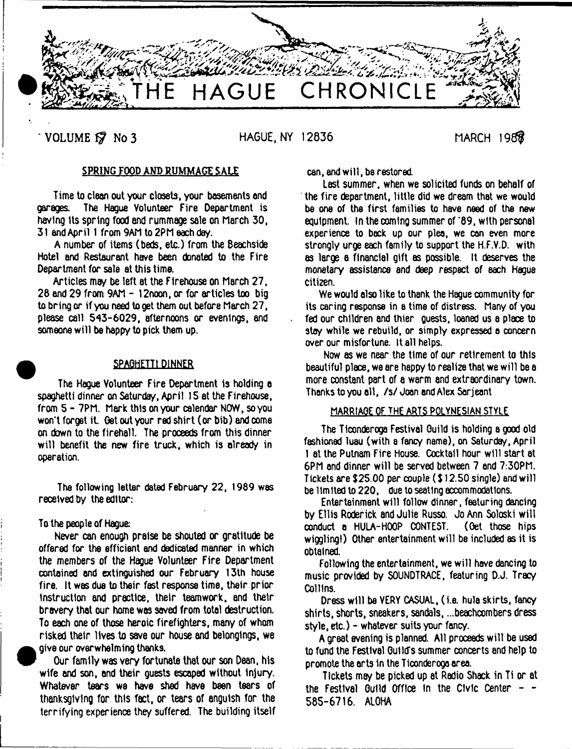

**VOLUME 17 No 3 HAGUE, NY 12836 MARCH 198** 

# SPRING FOOD AMD RUMMAGE SALE

Time to clean out your closets, your basements and garages. The Hague Volunteer Fire Department is having its spring food and rummage sale on March 30, 31 and April 1 from 9AM to 2PM each da/.

A number of items (beds, etc.) from the Beachside Hotel and Restaurant have been donated to the Fire Department for sale at this time.

Articles may be left at the Flrehouse on March 27, 28 end 29 from 9AM - 12noon, or for articles too big to bring or if you need to get them out before March 27, please call 543-6029, afternoons or evenings, and someone will be happy to pick them up.

# **SPAGHETTI DINNER**

The Hague Volunteer Fire Department is holding a spaghetti dinner on Saturday, April 15 at the Firehouse, from 5 - 7PM, Mark this on your calendar NOW, so you won't forget it. Get out your red shirt (or bib) and come on down to the firehall. The proceeds from this dinner will benefit the new fire truck, which is already in operation.

The following letter dated February 22, 1989 was received by the editor:

### To the people of Hague:

Never can enough praise be shouted or gratitude be offered for the efficient and dedicated manner in which the members of the Hague Volunteer Fire Department contained and extinguished our February 13th house fire. It was due to their fast response time, their prior instruction and practice, their teamwork, and their bravery that our home was saved from total destruction. To each one of those heroic firefighters, many of whom risked their lives to save our house and belongings, we give our overwhelming thanks.

Our family was very fortunate that our son Dean, his wife and son, and their guests escaped without injury. Whatever tears wa have shed have been tears of thanksgiving for this fact, or tears of anguish for the terrifying experience they suffered. The building itself can, and will, be restored.

Last summer, when we solicited funds on behalf of the fire department, little did we dream that we would be one of the first families to have need of the new equipment. In the coming summer of '89, with personal experience to back up our plea, we can even more strongly urge each family to support the H.F.V.D. with as large a financial gift as possible. It deserves the monetary assistance and deep respect of each Hague citizen.

We would also like to thank the Hague community for its caring response in a time of distress. Many of you fed our children and thier guests, loaned us a place to stay while we rebuild, or simply expressed a concern over our misfortune. It all helps.

Now as we near the time of our retirement to this beautiful place, we are happy to realize that we will be a more constant part of a warm and extraordinary town. Thanks to you all, /s/ Joan and Alex Serjeant

# MARRIAGE OF THE ARTS POLYNESIAN STYLE

The Tlconderoga Festival Guild is holding a good old fashioned luau (with a fancy name), on Saturday, April 1 at the Putnam Fire House. Cocktail hour will start at 6PM end dinner will be served between 7 and 7:30PM. Tickets are \$25.00 per couple (\$) 2.50 single) and will be limited to 220, due to seating accommodations.

Entertainment will follow dinner, featuring dancing by Ellis Roderick and Julie Russo. Jo Ann Soloski will conduct a HULA-HOOP CONTEST, (Oet those hips wiggling!) Other entertainment will be included as it is obtained.

Following the entertainment, we will have dancing to music provided by SOUNDTRACE, featuring D.J. Tracy Collins.

Dress will be VERY CASUAL, (i.e. hula skirts, fancy shirts, shorts, sneakers, sandals, ...beachcombers dress style, etc.) - whatever suits your fancy.

A great evening is planned. All proceeds will be used to fund the Festival Guild's summer concerts end help to promote the arts in the Ticonderogo area.

Tickets may be picked up at Radio Shack in Ti or at the Festival Guild Office in the Civic Center  $-$  -585-6716. ALOHA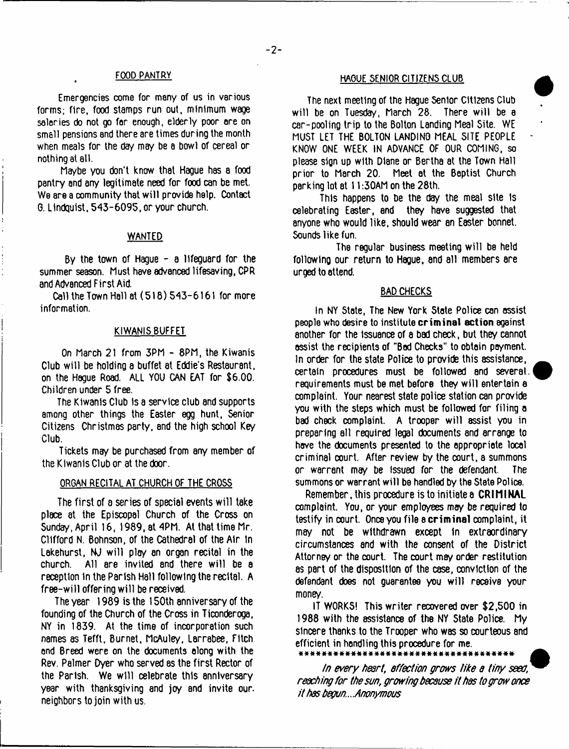Emergencies come for many of us in various forms; fire, food stamps run out, minimum wage salaries do not go for enough, elderly poor ore on small pensions and there are times during the month when meals for the day may be a bowl of cereal or nothing at all.

Maybe you don't know that Hague has a food pantry and any legitimate need for food can be met. We are a community that will provide help. Contact G. Lindquist, 543-6095, or your church.

# WANTED

By the town of Hague - a lifeguard for the summer season. Must have advanced lifesaving, CPR and Advanced First Aid.

Call the Town Hall at (518) 543-6161 for more information.

#### KIWANIS BUFFET

On March 21 from 3PM - 8PM, the Kiwanis Club will be holding a buffet at Eddie's Restaurant, on the Hague Road. ALL YOU CAN EAT for \$6.00. Children under 5 free.

The Kiwanis Club is a service club and supports among other things the Easter egg hunt, Senior Citizens Christmas party, and the high school Key Club.

Tickets may be purchased from any member of the Kiwanis Club or at the door.

#### ORGAN RECITAL AT CHURCH OF THE CROSS

The first of a series of special events will take place at the Episcopal Church of the Cross on Sunday, April 16, 1989, at 4PM. At that time Mr. Clifford N. Bohnson, of the Cathedral of the Air In Lakehurst, NJ will play an organ recital in the church. All are invited and there will be a reception in the Parish Hall following the recital. A free-will offering will be received.

The year 1989 is the 150th anniversary of the founding of the Church of the Cross in Ticonderoga, NY in 1839, At the time of incorporation such names as Tefft, Burnet, McAuley, Larrabee, Fitch and Breed were on the documents along with the Rev. Palmer Dyer who served as the first Rector of the Parish. We will celebrate this anniversary year with thanksgiving and joy and invite our. neighbors to join with us.

# FOOD PANTRY HAGUE SENIOR CITIZENS CLUB

The next meeting of the Hague Senior Citizens Club will be on Tuesday, March 28. There will be a car-pooling trip to the Bolton Landing Meal Site. WE MUST LET THE BOLTON LANDING MEAL SITE PEOPLE KNOW ONE WEEK IN ADVANCE OF OUR COMING, so please sign up with Diane or Bertha at the Town Hall prior to March 20. Meet at the Baptist Church parking lot at 11:30AM on the 28th.

This happens to be the day the meal site is celebrating Easter, and they have suggested that anyone who would like, should wear an E8ster bonnet. Sounds like fun.

The regular business meeting will be held following our return to Hague, and all members are urged to attend.

#### BAD CHECKS

In NY State, The New York State Police can assist people who desire to institute **criminal action** against another for the Issuance of a bad check, but they cannot assist the recipients of "Bad Checks" to obtain payment. In order for the state Police to provide this assistance, certain procedures must be followed and several, requirements must be met before they will entertain e complaint. Your nearest state police station can provide you with the steps which must be followed for filing a bad check complaint. A trooper will assist you in preparing all required legal documents and arrange to have the documents presented to the appropriate local criminal court. After review by the court, a summons or warrant may be Issued for the defendant. The summons or warrant will be handled by the State Police.

Remember, this procedure istoinitiatea **CRIMINAL** complaint. You, or your employees may be required to testify in xurt. Once you file a **criminal** xmplaint, it may not be withdrawn except In extraordinary circumstances and with the consent of the District Attorney or the court. The court may order restitution as part of the disposition of the case, conviction of the defendant does not quarantee you will receive your money.

IT WORKS! This writer recovered over \$2,500 in 1988 with the assistance of the NY State Police. My sincere thanks to the Trooper who was so courteous and efficient in handling this procedure for me.<br>\*\*\*\*\*\*\*\*\*\*\*\*\*\*\*\*\*\*\*\*\*\*\*\*\*\*\*\*\*\*

# # # \* # \* \* \* \* # # # # \* \* # # \* \* # \* \* \* « # \* \* # # \* # \* \* # # • \* \*

*in every heart*, *affection grows tike a tiny seed, reaching for the sun, growing because it has to grow once it has begun*.. *Anonymous*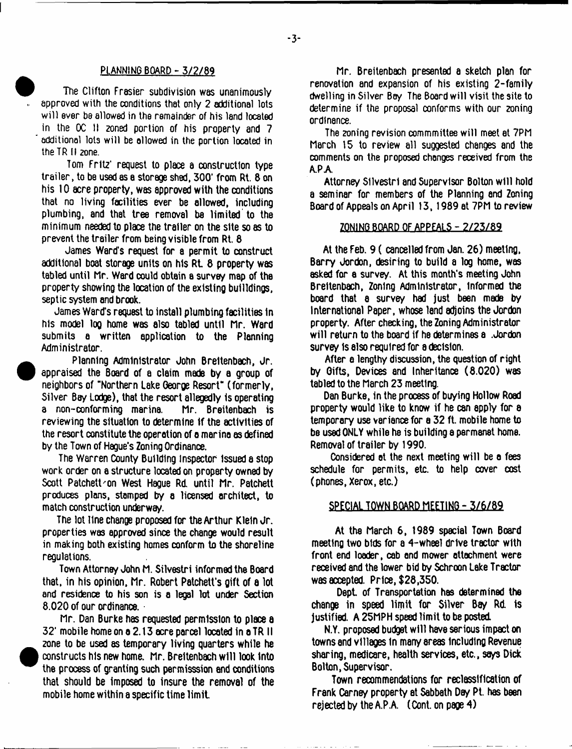The Clifton Frasier subdivision was unanimously approved with the conditions that only 2 additional lots will ever be allowed in the remainder of his land located in the OC II zoned portion of his property and 7 additional lots will be allowed in the portion located in the TR II 2one.

Tom Fritz\* request to place a construction type trailer, to be used as a storage shed, 300\* from Rt. 8 on his 10 acre property, was approved with the conditions that no living facilities ever be allowed, including plumbing, and that tree removal be limited to the minimum needed to place the trailer on the site so as to prevent the trailer from being visible from Rt. 8

James Ward's request for a permit to construct additional boat storage units on his Rt 8 property was tabled until Mr. Ward could obtain a survey map of the property showing the location of the existing builldings, septic system and brook.

James Ward's request to install plumbing facilities In his model log home was also tabled until Mr. Ward submits a written application to the Plenning Administrator.

Planning Administrator John Breltenbach, Jr. appraised the Board of a claim made by a group of neighbors of "Northern Lake George Resort" (formerly, Silver Bay Lodge), that the resort allegedly is operating<br>a non-conforming marina. Mr. Breitenbach is a non-conforming marina. reviewing the situation to determine If the activities of the resort constitute the operation of a marina as defined by the Town of Hague's Zoning Ordinance.

The Warren County Building Inspector issued a stop work order on a structure located on property owned by Scott Patchett'on West Hague Rd until Mr. Patchett produces plans, stamped by a licensed architect, to match construction underway.

The lot line change proposed for the Arthur Klein Jr. properties was approved since the change would result in making both existing homes conform to the shoreline regulations.

Town Attorney John M. Silvestri informed the Board that, in his opinion. Mr. Robert Patchett's gift of a lot and residence to his son is a legal lot under Section 8.020 of our ordinance.

Mr. Dan Burke has requested permission to place a 32' mobile home on a 2.13 acre parcel located in a TR II zone to be used as temporary living quarters while he constructs his new home. Mr. Breltenbach will look Into the process of granting such permisssion and conditions that should be imposed to insure the removal of the mobile home within a specific time lim it

PLANNING BOARD - 3/2/89 Mr. Breitenbach presented a sketch plan for renovation and expansion of his existing 2-family dwelling in Silver Bay The Board will visit the site to determine if the proposal conforms with our zoning ordinance.

> The zoning revision commmittee will meet at 7PM March 15 to review all succested changes and the comments on the proposed changes received from the A.PA

> Attorney Silvestri and Supervisor Bolton will hold a seminar for members of the Planning end Zoning Board of Appeals on April 13,1989 at 7PM to review

# **ZONING BOARD OF APPEALS - 2 /2 3 /8 9**

At the Feb. 9 ( cancelled from Jan. 26) meeting, Barry Jordon, desiring to build a log home, was asked for a survey. At this month's meeting John Breltenbach, Zoning Administrator, informed the board that a survey had just been made by International Paper, whose land adjoins the Jordon property. After checking, the Zoning Administrator will return to the board if he determines a .Jordon survey is also required for a decision.

After a lengthy discussion, the question of right by Gifts, Devices and Inheritance (8.020) was tabled to the March 23 meeting.

Dan Burke, in the process of buying Hollow Road property would like to know if he can apply for a temporary use variance for a 32 ft. mobile home to be used ONLY while he is building a permanet home. Removal of trailer by 1990.

Considered at the next meeting will be a fees schedule for permits, etc. to help cover cost (phones, Xerox, etc.)

### SPECIAL TOWN BOARD MEETING - 3/6/89

At the March 6, 1989 special Town Board meeting two bids for a 4-wheel drive tractor with front end loader, cab and mower attachment were received and the lower bid by Schroon Lake Tractor was accepted. Price, \$28,350.

Dept. of Transportation has determined the change in speed limit for Silver Bay Rd. is justified. A 25MPH speed limit to be posted

N.Y. proposed budget will have serious impact on towns and villages in many areas Including Revenue sharing, medicare, health services, etc., says Dick Bolton, Supervisor.

Town recommendations for reclassification of Frank Carney property at Sabbath Day Pt. has been rejected by the A.P.A.  $(Cont. on page 4)$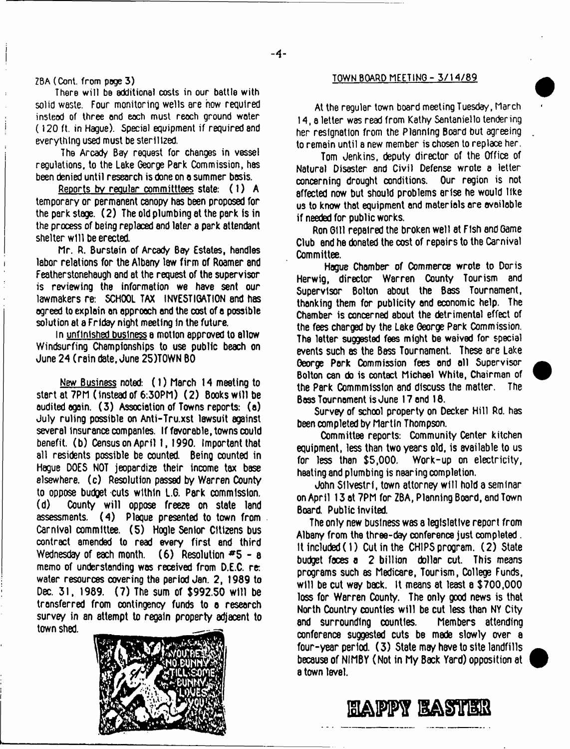# ZBA (Cont. from poge 3)

There will be additional costs in our battle with solid waste. Four monitoring wells are how required instead of three and each must reach ground water (120 ft. in Hague). Special equipment if required and everything used must be sterilized.

The Aready Bay request for changes in vessel regulations, to the Lake George Park Commission, has been denied until research is done on a summer basis.

Reports bv regular committtees state: (1) A temporary or permanent canopy has been proposed for the park stage. (2) The old plumbing at the park is in the process of being replaced and later a park attendant shelter will be erected,

Mr. R. Burstein of Arcady Bey Estates, handles labor relations for the Albany law firm of Roamer and Featherstonehaugh and at the request of the supervisor is reviewing the information we have sent our lawmakers re: SCHOOL TAX INVESTIGATION end has ogreed to explain an approach and the cost of a possible solution at a Friday night meeting in the future.

In unfinished business a motion approved to allow Windsurfing Championships to use public beach on June 24 (rain date, June 25)T0WN BO

New Business noted: (1) March 14 meeting to start at 7PM (instead of 6:30PM) (2) Books will be audited again. (3) Association of Towns reports: (a) July ruling possible on Anti-Tru.xst lawsuit against several Insurance companies. If favorable, towns could benefit, (b) Census on April 1, 1990. Important that all residents possible be counted. Being counted in Hague DOES NOT jeopardize their income tax base elsewhere, (c) Resolution passed by Warren County to oppose budget cuts within L.G. Park commission, County will oppose freeze on state land assessments. (4) Plaque presented to town from Carnival committee. (5) Hogle Senior Citizens bus contract amended to read every first end third Wednesday of each month. (6) Resolution  $#5 - a$ memo of understanding was received from D.E.C. re: water resources covering the period Jan. 2, 1989 to Dec. 31, 1989. (7) The sum of \$992.50 will be transferred from contingency funds to a research survey in an attempt to regain property adjacent to town shed.



#### TOWN BOARD MEETING - 3 / 1 4 / 8 9

At the regular town board meeting Tuesday, March 14, a letter was read from Kathy Sentaniello tendering her resignation from the Planning Board but agreeing to remain until a new member is chosen to replace her.

Tom Jenkins, deputy director of the Office of Natural Disaster and Civil Defense wrote a letter concerning drought conditions. Our region is not affected now but should problems arise he would like us to know that equipment and materials are available if needed for public works.

Ron Gill repaired the broken well at Fish and Game Club end he donated the cost of repairs to the Carnival Committee.

Hague Chamber of Commerce wrote to Doris Herwig, director Warren County Tourism and Supervisor Bolton about the Bass Tournament, thanking them for publicity and economic help. The Chamber is concerned about the detrimental effect of the fees charged by the Lake George Park Commission. The letter suggested fees might be waived for special events such as the Bess Tournament. These are Lake George Perk Commission fees and all Supervisor Bolton can do is contact Michael White, Chairman of the Perk Gommmisslon and discuss the matter. The Boss Tournament is June 17 end 18.

Survey of school property on Decker Hill Rd. has been completed by Martin Thompson.

Committee reports: Community Center kitchen equipment, less than two years old, is available to us for less than \$5,000. Work-up on electricity, heating and plumbing is nearing completion.

John Silvestri, town attorney will hold a seminar on April 13 at 7PM for ZBA, Planning Board, and Town Board. Public Invited.

The only new business was a legislative report from Albany from the three-day conference just completed . It included (1) Cut in the CHIPS program. (2) State budget faces a 2 billion dollar cut. This means programs such as Medicare, Tourism, College Funds, will be cut way back. It means at least a \$700,000 loss for Warren County. The only good news is that North Country counties will be cut less than NY City and surrounding counties. Members attending conference suggested cuts bs made slowly over a four-year period. (3) State may have to site landfills because of NIMBY (Not in My Back Yard) opposition at a town level.

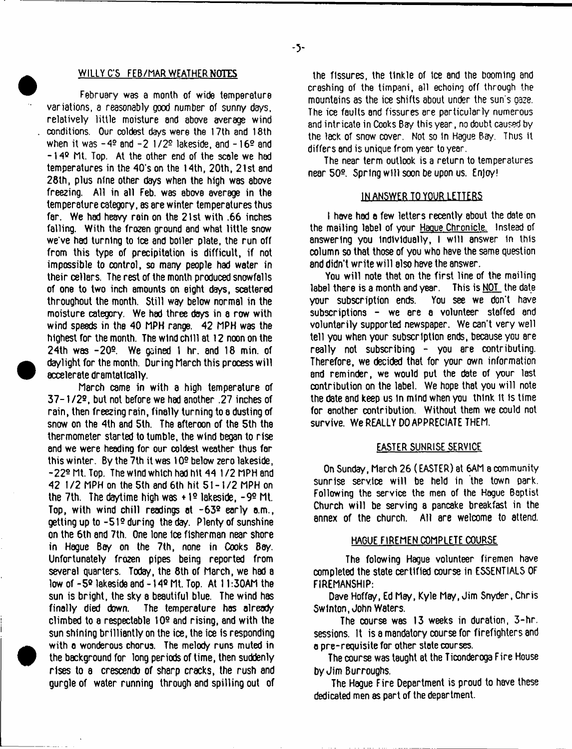### WILLY C'S FEB/MAR WEATHER NOTES

February was a month of wide temperature variations, a reasonably good number of sunny days, relatively little moisture and above average wind conditions. Our coldest days were the 17th and 18th when it was  $-4^{\circ}$  and  $-2$  1/2<sup> $\circ$ </sup> lakeside, and  $-16^{\circ}$  and -14® ML Top. At the other end of the scale we had temperatures in the 40's on the 14th, 20th, 21st and 28th, plus nine other days when the high was sbove freezing. All in all Feb. was above average in the temperature category, as sre winter temperatures thus far. We had heavy rain on the 21st with .66 inches falling. With the frozen ground and what little snow we've had turning to 1ce and boiler plate, the run off from this type of precipitation is difficult, if not impossible to control, so many people had water in their cellars. The rest of the month produced snowfalls of one to two inch amounts on eight days, scattered throughout the month. Still way below normal in the moisture category. We had three days in a row with wind speeds in the 40 MPH range. 42 MPH was the highest for the month. The wind chill at 12 noon on the 24th was -20®. We gained 1 hr. and 18 min. of daylight for the month. During March this process will accelerate dramtatlcally.

March csme in with a high temperature of 37-1 /2®, but not before we had another .27 inches of rain, then freezing rain, finally turning to a dusting of snow on the 4th and 5th. The afteroon of the 5th the thermometer started to tumble, the wind began to rise and we were heeding for our coldest weather thus far this winter. By the 7th it was 109 below zero lakeside, -22® Mt. Top. The wind which had hit 44 1 /2 MPH and 42 1 /2 MPH on the 5th and 6th hit 51-1/2 MPH on the 7th. The daytime high was +1<sup>o</sup> lakeside, -9<sup>o</sup> Mt. Top, with wind chill readings at  $-63^{\circ}$  early a.m., getting up to  $-51<sup>°</sup>$  during the day. Plenty of sunshine on the 6th and 7th. One lone Ice fisherman near shore in Hague Bay on the 7th, none in Cooks Bay. Unfortunately frozen pipes being reported from several quarters. Today, the 8th of March, we had a low of -5® lakeside and -14® Mt. Top. At 11:30AM the sun is bright, the sky a beautiful blue. The wind has finally died down. The temperature has already climbed to a respectable 109 and rising, and with the sun shining brilliantly on the ice, the ice is responding with a wonderous chorus. The melody runs muted in the background for long periods of time, then suddenly rises to a crescendo of sharp cracks, the rush and gurgle of water running through and spilling out of

the fissures, the tinkle of tee and the booming and crashing of the timpani, all echoing off through the mountains as the ice shifts about under the sun's gaze. The ice faults and fissures are particularly numerous and intricate in Cooks Bay this year, no doubt caused by the lack of snow cover. Not so In Hague Bay. Thus it differs and is unique from year to year.

The near term outlook is a return to temperatures near 50° Spring will soon be upon us. Enjoy!

#### IN ANSWER TO YOUR LETTERS

I have had a few letters recently about the date on the mailing label of your Haque Chronicle. Instead of answering you individually, I will answer in this column so that those of you who have the same question 8nd didn't write will also have the answer.

You will note that on the first line of the mailing label there is a month and year. This is NOT the date your subscription ends. You see we don't have subscriptions - we are a volunteer staffed and voluntarily supported newspaper. We can't very well tell you when your subscription ends, because you are really not subscribing - you are contributing. Therefore, we decided that for your own information and reminder, we would put the date of your last contribution on the label. We hope that you will note the date and keep us in mind when you think it is time for another contribution. Without them we could not survive. We REALLY DO APPRECIATE THEM.

#### EASTER SUNRISE SERVICE

On Sunday, March 26 (EASTER) at 6AM a community sunrise service will be held in the town park. Following the service the men of the Hogue Baptist Church will be serving a pancake breakfast in the annex of the church. All are welcome to attend.

# HAGUE FIREMEN COMPLETE COURSE

The folowing Hague volunteer firemen have completed the state certified course in ESSENTIALS OF FIREMANSHIP:

Dave Hoffay, Ed May, Kyle May, Jim Snyder, Chris SwInton, John Waters.

The course was 13 weeks in duration, 3-hr. sessions. It is a mandatory course for firefighters and a pre-requisite for other state courses.

The course was taught at the Ticonderoga Fire House by Jim Burroughs.

The Hague Fire Department is proud to have these dedicated men as part of the department.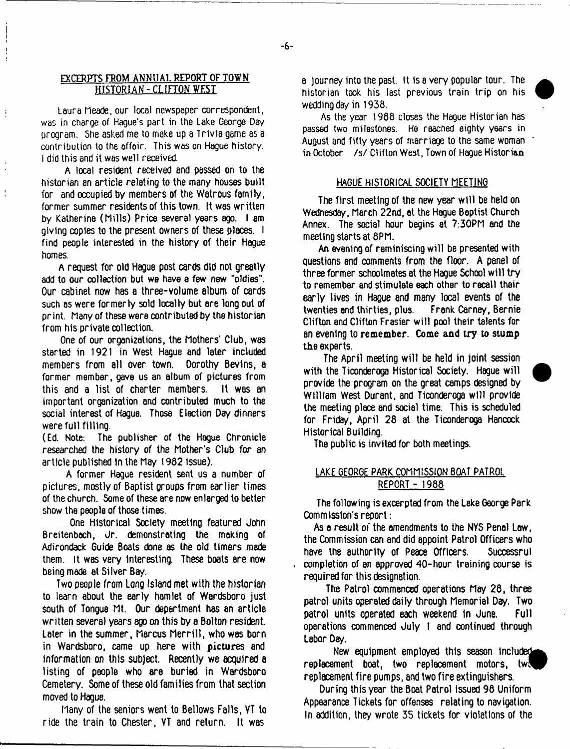# **EXCERPTS FROM** ANNUAL **REPORT OF TOWN HISTORIAN - CLIFTON WEST**

 $\mathbf{I}$ 

 $\mathbf{I}$ 

 $\frac{1}{2}$ 

Laura Meade, our local newspaper correspondent, was in charge of Hague's part in the Lake George Dey program. She asked me to make up a Trivia game as a contribution to the affair. This was on Hague history. I did this and it was well received.

A local resident received and passed on to the historian an article relating to the many houses built for and occupied by members of the Watrous family, former summer residents of this town. It was written by Katherine (Mills) Price several years ago. I am giving copies to the present owners of these places. I find people interested in the history of their Hague homes.

A request for old Hague post cards did not greatly add to our collection but we have a few new "oldies". Our cabinet now has a three-volume album of cards such as were formerly sold locally but are long out of print. Many of these were contributed by the historian from his private collection.

One of our organizations, the Mothers' Club, was started in 1921 in West Hague and later included members from all over town. Dorothy Bevins, a former member, gave us an album of pictures from this and a list of charter members. It was an important organization and contributed much to the social interest of Hague. Those Election Day dinners were full filling.

(Ed. Note: The publisher of the Hague Chronicle researched the history of the Mother's Club for an article published 1n the May 1982 Issue).

A former Hague resident sent us a number of pictures, mostly of Baptist groups from earlier times of the church. Some of these are now enlarged to better show the people of those times.

One Historical Society meeting featured John Breitenbach, Jr. demonstrating the making of Adirondack Guide Boats done as the old timers made them. It was very Interesting. These boats are now being made at Silver Bay.

Two people from Long Island met with the historian to learn about the early hamlet of Werdsboro just south of Tongue Mt. Our department has an article written several years ago on this by a Bolton resident. Later in the summer, Marcus Merrill, who was born in Wardsboro, came up here with pictures and information on this subject. Recently we acquired a listing of people who are buried in Wardsboro Cemetery. Some of these old families from that section moved to Hague.

Many of the seniors went to Bellows Falls, VT to ride the train to Chester, VT and return. It was

a journey Into the past. It Isa very popular tour. The historian took his last previous train trip on his wedding day in 1938.

As the year 1988 closes the Hague Historian has passed two milestones. He reached eighty years in August and fifty years of marriage to the same woman in October /s/ Clifton West, Town of Hogue Historian

#### HAGUE HISTORICAL SOCIETY MEETING

The first meeting of the new year will be held on Wednesday, March 22nd, at the Hague Baptist Church Annex. The social hour begins at 7:30PM and the meeting starts at 8PM.

An evening of reminiscing will be presented with questions and comments from the floor. A panel of three former schoolmates at the Hague School will try to remember and stimulate each other to recall their early lives in Hague and many local events of the twenties end thirties, plus. Frank Carney, Bernie Clifton and Clifton Frasier will pool their talents for an evening to remember. Come and try to stump the experts.

The April meeting will be held in joint session with the Ticonderoga Historical Society. Hague will provide the program on the great camps designed by William West Durant, and Ticonderoga will provide the meeting place and social time. This is scheduled for Friday, April 28 at the Ticonderoga Hancock Historical Building.

The public is invited for both meetings.

# LAKE GEORGE PARK COMMISSION BOAT PATROL REPORT - 1988

The following is excerpted from the Lake George Park Commission's report:

As a result of the amendments to the NYS Penal Law, the Commission can and did appoint Patrol Officers who have the authority of Peace Officers. Successrul completion of an approved 40-hour training course is required for this designation.

The Patrol commenced operations May 28, three patrol units operated daily through Memorial Day. Two patrol units operated each weekend in June. Full operations commenced July 1 and continued through Labor Day.

New equipment employed this season include^^  $replacement$  boat, two replacement motors, two replacement fire pumps, and two fire extinguishers.

During this year the Boat Patrol issued 98 Uniform Appearance Tickets for offenses relating to navigation. In addition, they wrote 35 tickets for violations of the

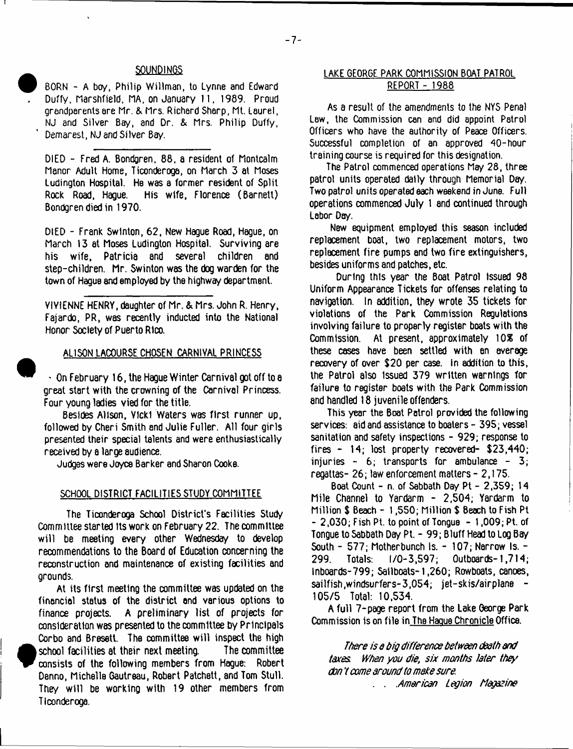BORN - A boy, Philip Willman, to Lynne and Edward Duffy, Marshfield, HA. on January 11, 1989. Proud grandparents are Mr. & Mrs. Richard Sharp, Mt. Laurel, NJ and Silver Bay, and Dr. & Mrs. Philip Duffy, Demarest, NJ and Silver Bay.

DIED - Fred A. Bondgren, 88. a resident of Montcalm Manor Adult Home, Ticonderoga, on March 3 at Moses Ludington Hospital. He was a former resident of Split His wife, Florence (Barnett) Bondgren died in 1970.

DIED - Frank Swlnton, 62, New Hague Road, Hague, on March 13 at Moses Ludington Hospital. Surviving are his wife, Patricia and several children and step-children. Mr. Swinton was the dog warden for the town of Hague and employed by the highway department.

VIVIENNE HENRY, daughter of Mr. & Mrs. John R. Henry, Fajardo, PR, was recently inducted into the National Honor Society of Puerto Rico.

#### ALISON LACOURSE CHOSEN CARNIVAL PRINCESS

 $\cdot$  On February 16, the Hague Winter Carnival got off to a great start with the crowning of the Carnival Princess. Four young ladies vied for the title.

Besides Alison, Vicki Waters was first runner up, followed by Cheri Smith and Julie Fuller. All four girls presented their special talents and were enthusiastically received by a large audience.

Judges were Joyce Barker and Sharon Cooke.

#### SCHOOL DISTRICT FACILITIES STUDY COMMITTEE

The Ticonderoga School District's Facilities Study Committee started its work on February 22. The committee will be meeting every other Wednesday to develop recommendations to the Board of Education concerning the reconstruction and maintenance of existing facilities and grounds.

At its first meeting the committee was updated on the financial status of the district and various options to finance projects. A preliminary list of projects for consideration was presented to the committee by Principals Corbo and Bresett. The committee will inspect the high school facilities at their next meeting. The committee consists of the following members from Hague: Robert Denno, Michelle Gautreau, Robert Patchett, and Tom Stull. They will be working with 19 other members from Ticonderoga.

# SOUNDINGS LAKE GEORGE PARK COMMISSION BOAT PATROL REPORT - 1988

As a result of the amendments to the NYS Penal Law, the Commission can and did appoint Patrol Officers who have the authority of Peace Officers. Successful completion of an approved 40-hour training course is required for this designation.

The Patrol commenced operations May 28, three patrol units operated dally through Memorial Day. Two patrol units operated each weekend in June. Full operations commenced July 1 and continued through Labor Day.

New equipment employed this season included replacement boat, two replacement motors, two replacement fire pumps and two fire extinguishers, besides uniforms and patches, etc.

During this year the Boat Patrol Issued 98 Uniform Appearance Tickets for offenses relating to navigation. In addition, they wrote 35 tickets for violations of the Park Commission Regulations involving failure to properly register boats with the Commission. At present, approximately 10% of these cases have been settled with an average recovery of over \$20 per case. In addition to this, the Patrol also Issued 379 written warnings for failure to register boats with the Park Commission and handled 18 juvenile offenders.

This year the Boat Patrol provided the following services: aid and assistance to boaters - 395; vessel sanitation and safety inspections - 929; response to fires - 14; lost property recovered- \$23,440; injuries  $-6$ ; transports for ambulance  $-3$ ; regattas- 26; law enforcement matters - 2,175.

Boat Count - n. of Sabbath Day Pt - 2,359; 14 Mile Channel to Yardarm - 2,504; Yardarm to Million \$ Beach - 1,550; Million \$ Beach to Fish Pt  $-2,030$ ; Fish Pt. to point of Tongue  $-1,009$ ; Pt. of Tongue to Sabbath Day PL - 99; Bluff Head to Log Bay South  $-577$ ; Motherbunch Is.  $-107$ ; Narrow Is.  $-$ 299. Totals: 1/0-3,597; Outboards-1,714; Inboards-799; Sailboats-1,260; Rowboats, canoes, sailfish,windsurfers-3,054; jet-skis/airplane -105/5 Total: 10,534.

A full 7-page report from the Lake George Park Commission is on file in The Hague Chronicle Office.

*There is q dig difference between death and taxes When you die, six months Jeter they don* 7 *come around to make sure* . . *American Legion Magazine*